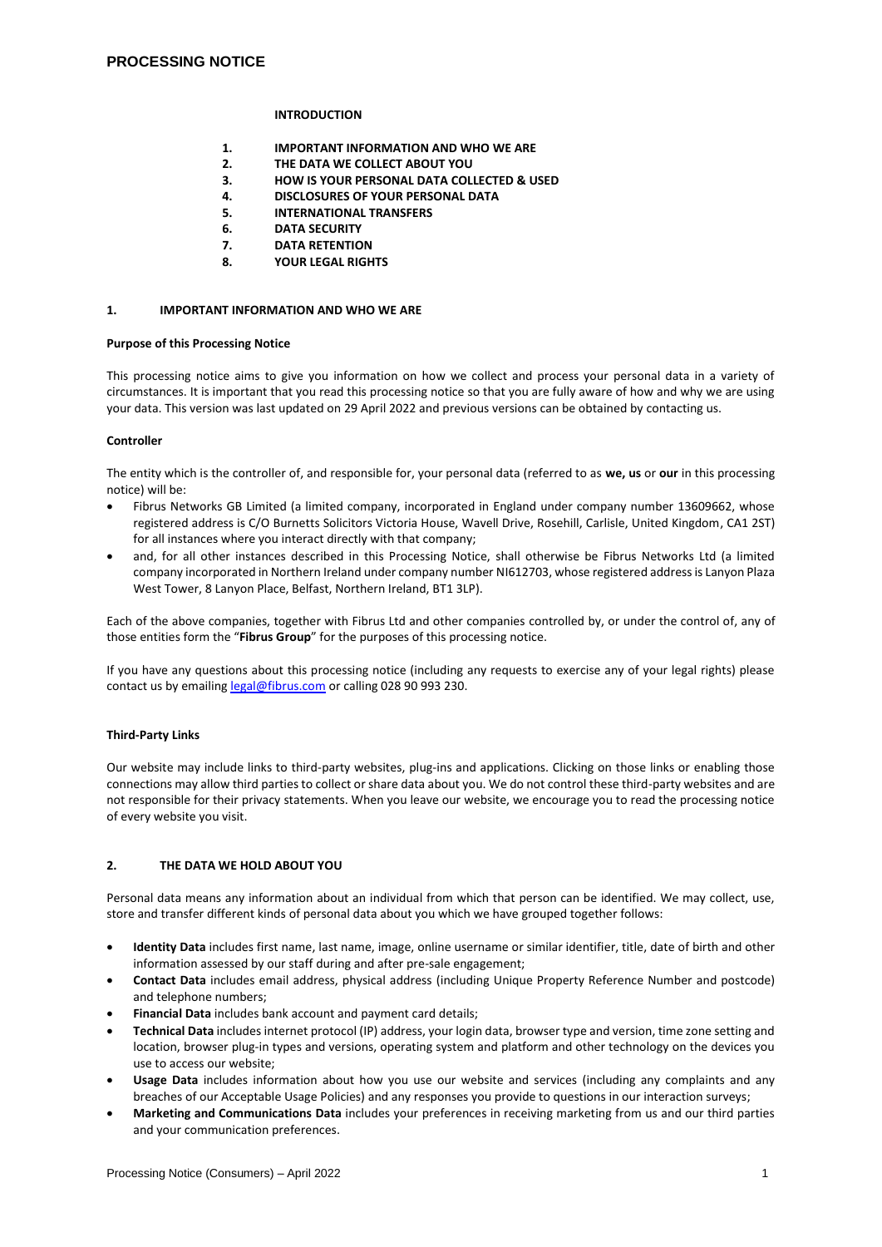## **INTRODUCTION**

- **1. IMPORTANT INFORMATION AND WHO WE ARE**
- **2. THE DATA WE COLLECT ABOUT YOU**
- **3. HOW IS YOUR PERSONAL DATA COLLECTED & USED**
- **4. DISCLOSURES OF YOUR PERSONAL DATA**
- **5. INTERNATIONAL TRANSFERS**
- **6. DATA SECURITY**
- **7. DATA RETENTION**
- **8. YOUR LEGAL RIGHTS**

## **1. IMPORTANT INFORMATION AND WHO WE ARE**

#### **Purpose of this Processing Notice**

This processing notice aims to give you information on how we collect and process your personal data in a variety of circumstances. It is important that you read this processing notice so that you are fully aware of how and why we are using your data. This version was last updated on 29 April 2022 and previous versions can be obtained by contacting us.

## **Controller**

The entity which is the controller of, and responsible for, your personal data (referred to as **we, us** or **our** in this processing notice) will be:

- Fibrus Networks GB Limited (a limited company, incorporated in England under company number 13609662, whose registered address is C/O Burnetts Solicitors Victoria House, Wavell Drive, Rosehill, Carlisle, United Kingdom, CA1 2ST) for all instances where you interact directly with that company;
- and, for all other instances described in this Processing Notice, shall otherwise be Fibrus Networks Ltd (a limited company incorporated in Northern Ireland under company number NI612703, whose registered address is Lanyon Plaza West Tower, 8 Lanyon Place, Belfast, Northern Ireland, BT1 3LP).

Each of the above companies, together with Fibrus Ltd and other companies controlled by, or under the control of, any of those entities form the "**Fibrus Group**" for the purposes of this processing notice.

If you have any questions about this processing notice (including any requests to exercise any of your legal rights) please contact us by emailing [legal@fibrus.com](mailto:legal@fibrus.com) or calling 028 90 993 230.

## **Third-Party Links**

Our website may include links to third-party websites, plug-ins and applications. Clicking on those links or enabling those connections may allow third parties to collect or share data about you. We do not control these third-party websites and are not responsible for their privacy statements. When you leave our website, we encourage you to read the processing notice of every website you visit.

## **2. THE DATA WE HOLD ABOUT YOU**

Personal data means any information about an individual from which that person can be identified. We may collect, use, store and transfer different kinds of personal data about you which we have grouped together follows:

- **Identity Data** includes first name, last name, image, online username or similar identifier, title, date of birth and other information assessed by our staff during and after pre-sale engagement;
- **Contact Data** includes email address, physical address (including Unique Property Reference Number and postcode) and telephone numbers;
- **Financial Data** includes bank account and payment card details;
- **Technical Data** includes internet protocol (IP) address, your login data, browser type and version, time zone setting and location, browser plug-in types and versions, operating system and platform and other technology on the devices you use to access our website;
- **Usage Data** includes information about how you use our website and services (including any complaints and any breaches of our Acceptable Usage Policies) and any responses you provide to questions in our interaction surveys;
- **Marketing and Communications Data** includes your preferences in receiving marketing from us and our third parties and your communication preferences.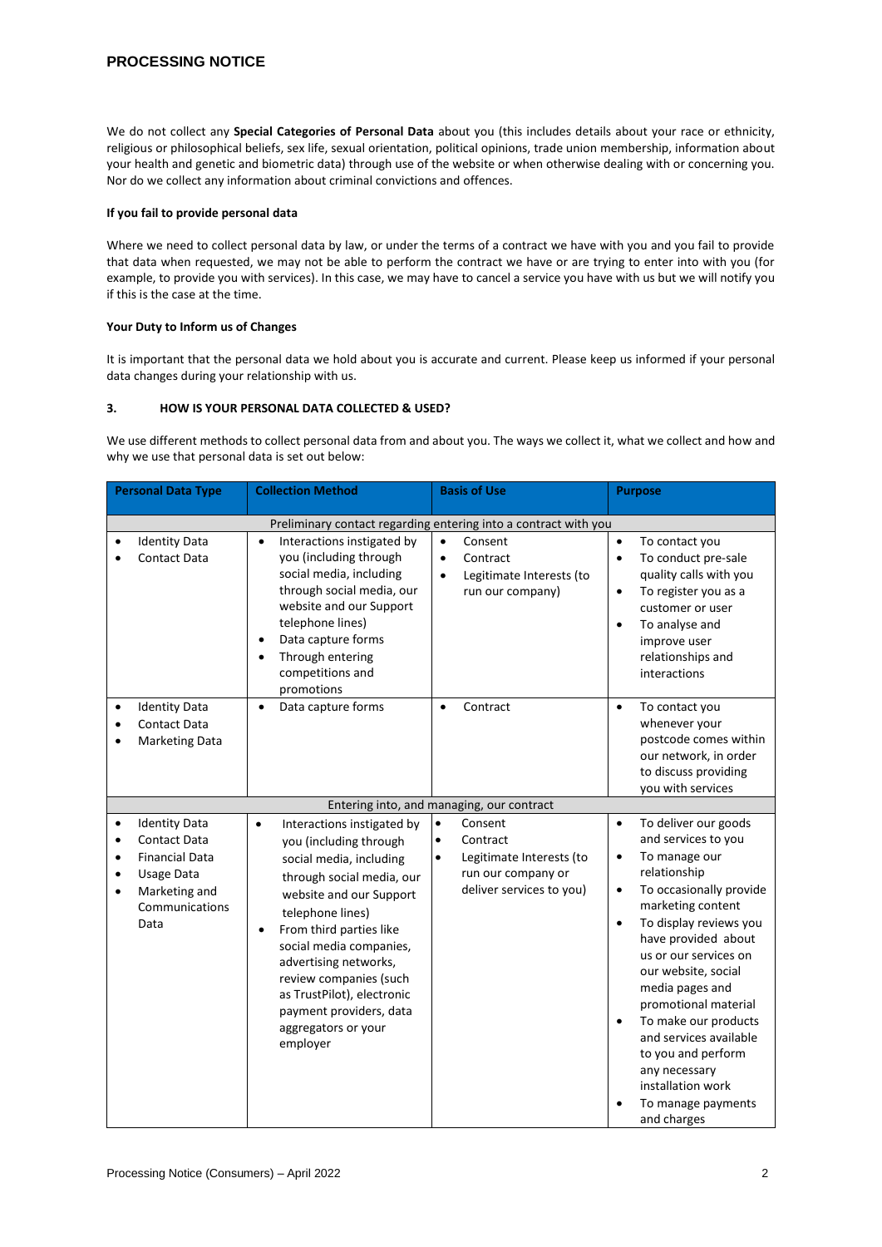# **PROCESSING NOTICE**

We do not collect any **Special Categories of Personal Data** about you (this includes details about your race or ethnicity, religious or philosophical beliefs, sex life, sexual orientation, political opinions, trade union membership, information about your health and genetic and biometric data) through use of the website or when otherwise dealing with or concerning you. Nor do we collect any information about criminal convictions and offences.

## **If you fail to provide personal data**

Where we need to collect personal data by law, or under the terms of a contract we have with you and you fail to provide that data when requested, we may not be able to perform the contract we have or are trying to enter into with you (for example, to provide you with services). In this case, we may have to cancel a service you have with us but we will notify you if this is the case at the time.

## **Your Duty to Inform us of Changes**

It is important that the personal data we hold about you is accurate and current. Please keep us informed if your personal data changes during your relationship with us.

## **3. HOW IS YOUR PERSONAL DATA COLLECTED & USED?**

We use different methods to collect personal data from and about you. The ways we collect it, what we collect and how and why we use that personal data is set out below:

| <b>Personal Data Type</b>                                       |                                                                                                              | <b>Collection Method</b>                                                                                                                                                                                                                                                                                                                                                                   |                                     | <b>Basis of Use</b>                                                                    |                                                  | <b>Purpose</b>                                                                                                                                                                                                                                                                                     |  |  |  |  |
|-----------------------------------------------------------------|--------------------------------------------------------------------------------------------------------------|--------------------------------------------------------------------------------------------------------------------------------------------------------------------------------------------------------------------------------------------------------------------------------------------------------------------------------------------------------------------------------------------|-------------------------------------|----------------------------------------------------------------------------------------|--------------------------------------------------|----------------------------------------------------------------------------------------------------------------------------------------------------------------------------------------------------------------------------------------------------------------------------------------------------|--|--|--|--|
| Preliminary contact regarding entering into a contract with you |                                                                                                              |                                                                                                                                                                                                                                                                                                                                                                                            |                                     |                                                                                        |                                                  |                                                                                                                                                                                                                                                                                                    |  |  |  |  |
|                                                                 | <b>Identity Data</b><br><b>Contact Data</b>                                                                  | Interactions instigated by<br>$\bullet$<br>you (including through<br>social media, including<br>through social media, our<br>website and our Support<br>telephone lines)<br>Data capture forms<br>Through entering<br>competitions and<br>promotions                                                                                                                                       | $\bullet$<br>$\bullet$<br>$\bullet$ | Consent<br>Contract<br>Legitimate Interests (to<br>run our company)                    | $\bullet$<br>$\bullet$<br>$\bullet$<br>$\bullet$ | To contact you<br>To conduct pre-sale<br>quality calls with you<br>To register you as a<br>customer or user<br>To analyse and<br>improve user<br>relationships and<br>interactions                                                                                                                 |  |  |  |  |
| $\bullet$                                                       | <b>Identity Data</b><br><b>Contact Data</b><br><b>Marketing Data</b>                                         | Data capture forms<br>$\bullet$                                                                                                                                                                                                                                                                                                                                                            | $\bullet$                           | Contract                                                                               | $\bullet$                                        | To contact you<br>whenever your<br>postcode comes within<br>our network, in order<br>to discuss providing<br>you with services                                                                                                                                                                     |  |  |  |  |
|                                                                 | <b>Identity Data</b>                                                                                         | Entering into, and managing, our contract                                                                                                                                                                                                                                                                                                                                                  | $\bullet$                           | Consent                                                                                | $\bullet$                                        | To deliver our goods                                                                                                                                                                                                                                                                               |  |  |  |  |
| $\bullet$<br>٠<br>$\bullet$<br>٠<br>$\bullet$                   | <b>Contact Data</b><br><b>Financial Data</b><br><b>Usage Data</b><br>Marketing and<br>Communications<br>Data | Interactions instigated by<br>$\bullet$<br>you (including through<br>social media, including<br>through social media, our<br>website and our Support<br>telephone lines)<br>From third parties like<br>$\bullet$<br>social media companies,<br>advertising networks,<br>review companies (such<br>as TrustPilot), electronic<br>payment providers, data<br>aggregators or your<br>employer | $\bullet$<br>$\bullet$              | Contract<br>Legitimate Interests (to<br>run our company or<br>deliver services to you) | $\bullet$<br>$\bullet$<br>$\bullet$<br>$\bullet$ | and services to you<br>To manage our<br>relationship<br>To occasionally provide<br>marketing content<br>To display reviews you<br>have provided about<br>us or our services on<br>our website, social<br>media pages and<br>promotional material<br>To make our products<br>and services available |  |  |  |  |
|                                                                 |                                                                                                              |                                                                                                                                                                                                                                                                                                                                                                                            |                                     |                                                                                        |                                                  | to you and perform<br>any necessary<br>installation work<br>To manage payments<br>and charges                                                                                                                                                                                                      |  |  |  |  |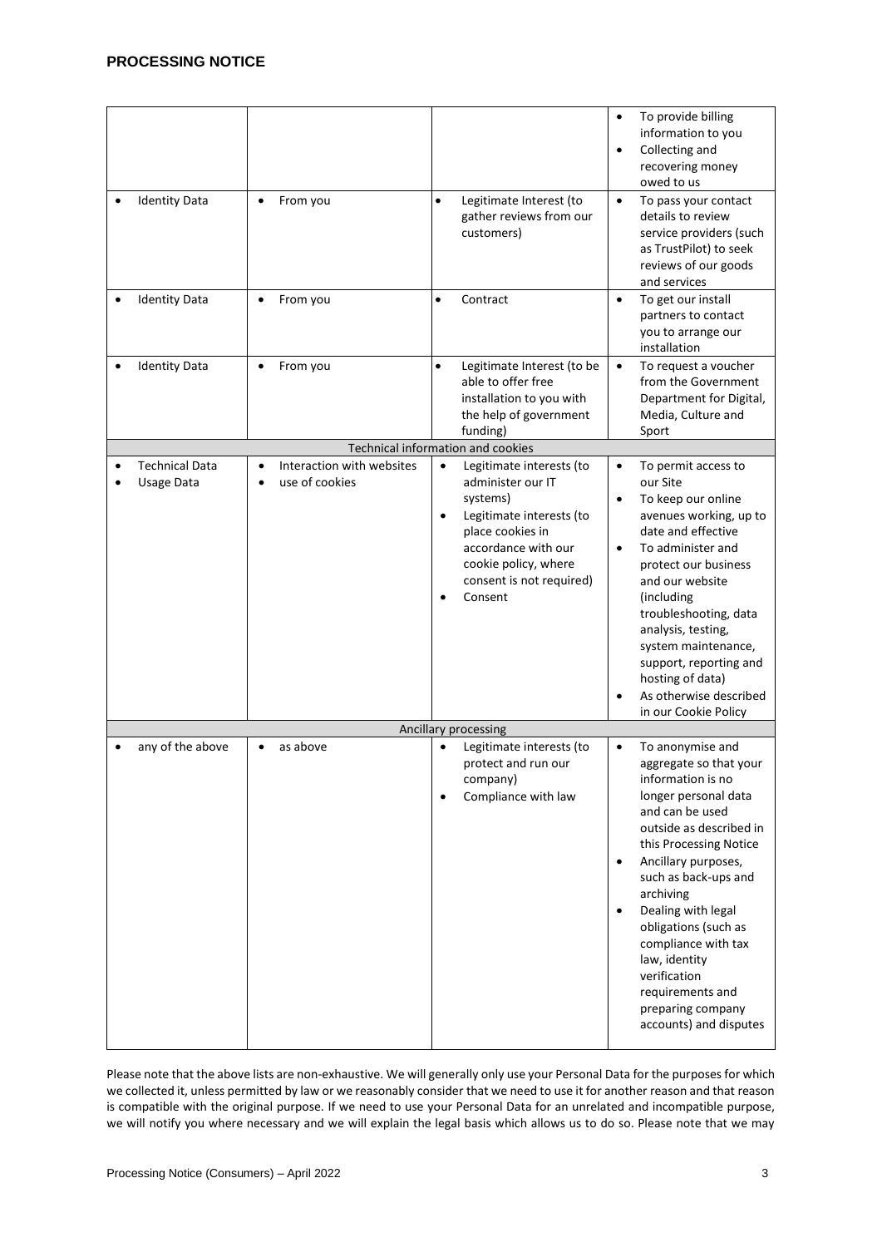| <b>Identity Data</b>                | From you<br>$\bullet$                                                 | $\bullet$              | Legitimate Interest (to<br>gather reviews from our<br>customers)                                                                                                                                | $\bullet$<br>$\bullet$<br>$\bullet$              | To provide billing<br>information to you<br>Collecting and<br>recovering money<br>owed to us<br>To pass your contact<br>details to review<br>service providers (such<br>as TrustPilot) to seek<br>reviews of our goods<br>and services                                                                                                                                                               |
|-------------------------------------|-----------------------------------------------------------------------|------------------------|-------------------------------------------------------------------------------------------------------------------------------------------------------------------------------------------------|--------------------------------------------------|------------------------------------------------------------------------------------------------------------------------------------------------------------------------------------------------------------------------------------------------------------------------------------------------------------------------------------------------------------------------------------------------------|
| <b>Identity Data</b>                | From you<br>$\bullet$                                                 | $\bullet$              | Contract                                                                                                                                                                                        | $\bullet$                                        | To get our install<br>partners to contact<br>you to arrange our<br>installation                                                                                                                                                                                                                                                                                                                      |
| <b>Identity Data</b>                | From you<br>$\bullet$                                                 | $\bullet$              | Legitimate Interest (to be<br>able to offer free<br>installation to you with<br>the help of government<br>funding)                                                                              | $\bullet$                                        | To request a voucher<br>from the Government<br>Department for Digital,<br>Media, Culture and<br>Sport                                                                                                                                                                                                                                                                                                |
|                                     | Technical information and cookies                                     |                        |                                                                                                                                                                                                 |                                                  |                                                                                                                                                                                                                                                                                                                                                                                                      |
| <b>Technical Data</b><br>Usage Data | Interaction with websites<br>$\bullet$<br>use of cookies<br>$\bullet$ | $\bullet$<br>$\bullet$ | Legitimate interests (to<br>administer our IT<br>systems)<br>Legitimate interests (to<br>place cookies in<br>accordance with our<br>cookie policy, where<br>consent is not required)<br>Consent | $\bullet$<br>$\bullet$<br>$\bullet$<br>$\bullet$ | To permit access to<br>our Site<br>To keep our online<br>avenues working, up to<br>date and effective<br>To administer and<br>protect our business<br>and our website<br>(including<br>troubleshooting, data<br>analysis, testing,<br>system maintenance,<br>support, reporting and<br>hosting of data)<br>As otherwise described                                                                    |
|                                     |                                                                       |                        |                                                                                                                                                                                                 |                                                  | in our Cookie Policy                                                                                                                                                                                                                                                                                                                                                                                 |
| any of the above                    | as above<br>$\bullet$                                                 | $\bullet$              | Ancillary processing<br>Legitimate interests (to<br>protect and run our<br>company)<br>Compliance with law                                                                                      | $\bullet$<br>$\bullet$<br>$\bullet$              | To anonymise and<br>aggregate so that your<br>information is no<br>longer personal data<br>and can be used<br>outside as described in<br>this Processing Notice<br>Ancillary purposes,<br>such as back-ups and<br>archiving<br>Dealing with legal<br>obligations (such as<br>compliance with tax<br>law, identity<br>verification<br>requirements and<br>preparing company<br>accounts) and disputes |

Please note that the above lists are non-exhaustive. We will generally only use your Personal Data for the purposes for which we collected it, unless permitted by law or we reasonably consider that we need to use it for another reason and that reason is compatible with the original purpose. If we need to use your Personal Data for an unrelated and incompatible purpose, we will notify you where necessary and we will explain the legal basis which allows us to do so. Please note that we may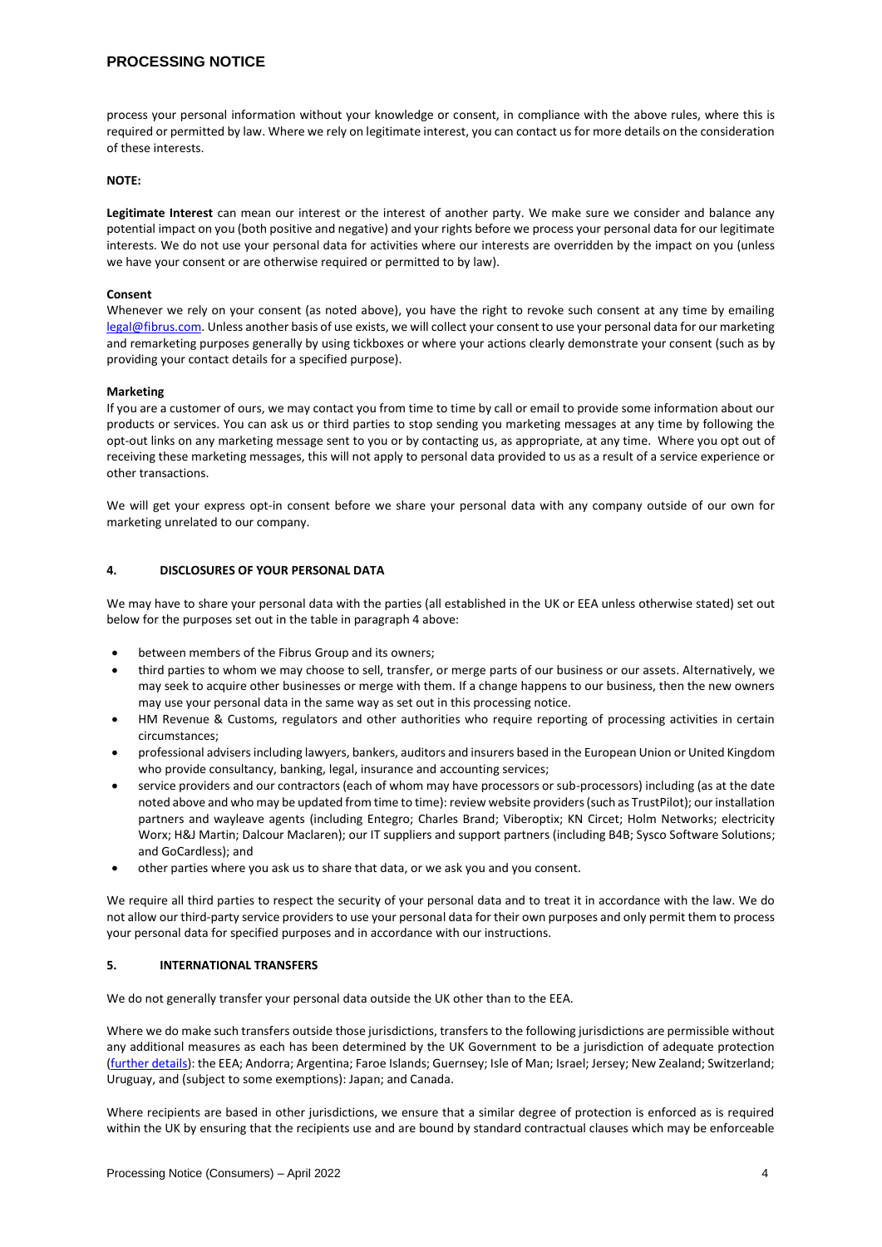# **PROCESSING NOTICE**

process your personal information without your knowledge or consent, in compliance with the above rules, where this is required or permitted by law. Where we rely on legitimate interest, you can contact us for more details on the consideration of these interests.

## **NOTE:**

**Legitimate Interest** can mean our interest or the interest of another party. We make sure we consider and balance any potential impact on you (both positive and negative) and your rights before we process your personal data for our legitimate interests. We do not use your personal data for activities where our interests are overridden by the impact on you (unless we have your consent or are otherwise required or permitted to by law).

## **Consent**

Whenever we rely on your consent (as noted above), you have the right to revoke such consent at any time by emailing legal@fibrus.com. Unless another basis of use exists, we will collect your consent to use your personal data for our marketing and remarketing purposes generally by using tickboxes or where your actions clearly demonstrate your consent (such as by providing your contact details for a specified purpose).

#### **Marketing**

If you are a customer of ours, we may contact you from time to time by call or email to provide some information about our products or services. You can ask us or third parties to stop sending you marketing messages at any time by following the opt-out links on any marketing message sent to you or by contacting us, as appropriate, at any time. Where you opt out of receiving these marketing messages, this will not apply to personal data provided to us as a result of a service experience or other transactions.

We will get your express opt-in consent before we share your personal data with any company outside of our own for marketing unrelated to our company.

## **4. DISCLOSURES OF YOUR PERSONAL DATA**

We may have to share your personal data with the parties (all established in the UK or EEA unless otherwise stated) set out below for the purposes set out in the table in paragraph 4 above:

- between members of the Fibrus Group and its owners;
- third parties to whom we may choose to sell, transfer, or merge parts of our business or our assets. Alternatively, we may seek to acquire other businesses or merge with them. If a change happens to our business, then the new owners may use your personal data in the same way as set out in this processing notice.
- HM Revenue & Customs, regulators and other authorities who require reporting of processing activities in certain circumstances;
- professional advisers including lawyers, bankers, auditors and insurers based in the European Union or United Kingdom who provide consultancy, banking, legal, insurance and accounting services;
- service providers and our contractors (each of whom may have processors or sub-processors) including (as at the date noted above and who may be updated from time to time): review website providers (such as TrustPilot); our installation partners and wayleave agents (including Entegro; Charles Brand; Viberoptix; KN Circet; Holm Networks; electricity Worx; H&J Martin; Dalcour Maclaren); our IT suppliers and support partners (including B4B; Sysco Software Solutions; and GoCardless); and
- other parties where you ask us to share that data, or we ask you and you consent.

We require all third parties to respect the security of your personal data and to treat it in accordance with the law. We do not allow our third-party service providers to use your personal data for their own purposes and only permit them to process your personal data for specified purposes and in accordance with our instructions.

## **5. INTERNATIONAL TRANSFERS**

We do not generally transfer your personal data outside the UK other than to the EEA.

Where we do make such transfers outside those jurisdictions, transfers to the following jurisdictions are permissible without any additional measures as each has been determined by the UK Government to be a jurisdiction of adequate protection (further details): the EEA; Andorra; Argentina; Faroe Islands; Guernsey; Isle of Man; Israel; Jersey; New Zealand; Switzerland; Uruguay, and (subject to some exemptions): Japan; and Canada.

Where recipients are based in other jurisdictions, we ensure that a similar degree of protection is enforced as is required within the UK by ensuring that the recipients use and are bound by standard contractual clauses which may be enforceable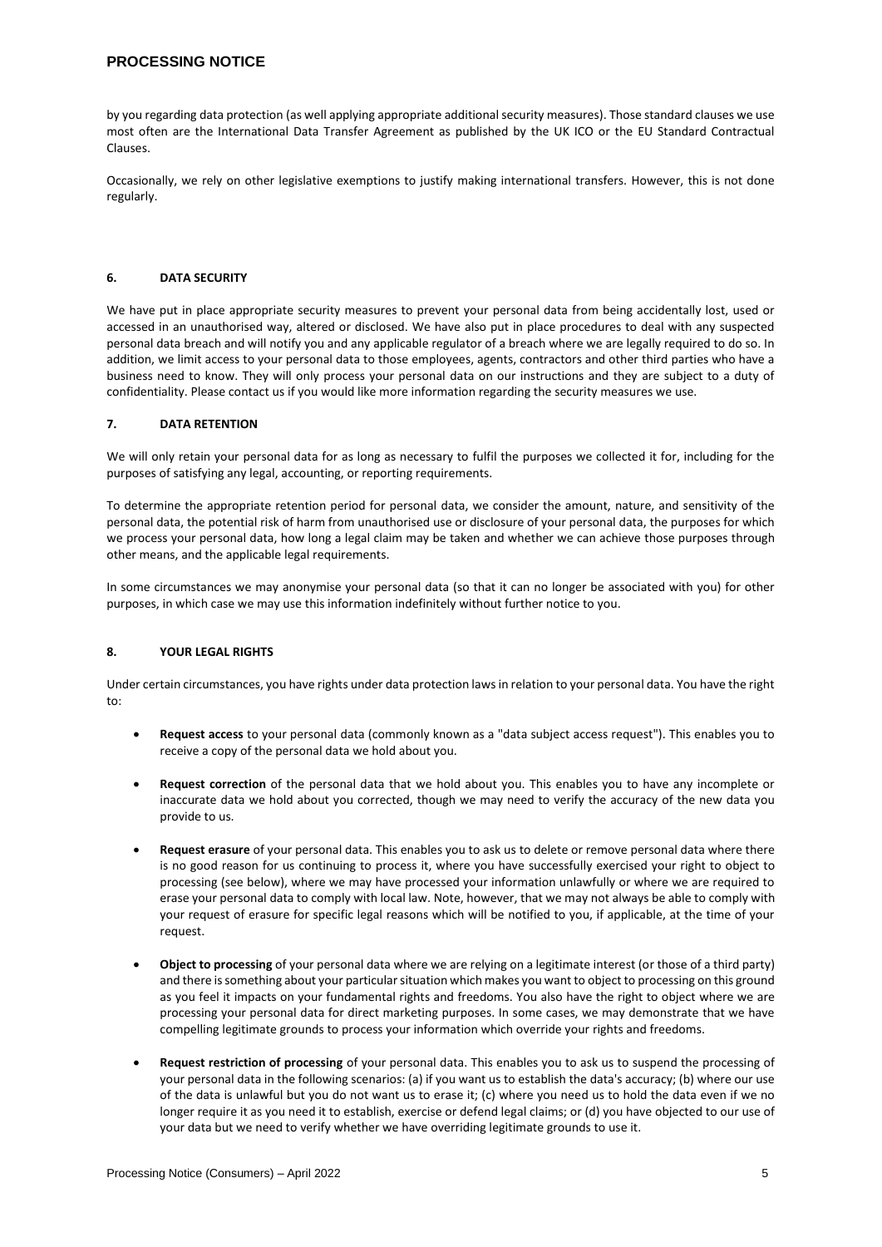# **PROCESSING NOTICE**

by you regarding data protection (as well applying appropriate additional security measures). Those standard clauses we use most often are the International Data Transfer Agreement as published by the UK ICO or the EU Standard Contractual Clauses.

Occasionally, we rely on other legislative exemptions to justify making international transfers. However, this is not done regularly.

## **6. DATA SECURITY**

We have put in place appropriate security measures to prevent your personal data from being accidentally lost, used or accessed in an unauthorised way, altered or disclosed. We have also put in place procedures to deal with any suspected personal data breach and will notify you and any applicable regulator of a breach where we are legally required to do so. In addition, we limit access to your personal data to those employees, agents, contractors and other third parties who have a business need to know. They will only process your personal data on our instructions and they are subject to a duty of confidentiality. Please contact us if you would like more information regarding the security measures we use.

## **7. DATA RETENTION**

We will only retain your personal data for as long as necessary to fulfil the purposes we collected it for, including for the purposes of satisfying any legal, accounting, or reporting requirements.

To determine the appropriate retention period for personal data, we consider the amount, nature, and sensitivity of the personal data, the potential risk of harm from unauthorised use or disclosure of your personal data, the purposes for which we process your personal data, how long a legal claim may be taken and whether we can achieve those purposes through other means, and the applicable legal requirements.

In some circumstances we may anonymise your personal data (so that it can no longer be associated with you) for other purposes, in which case we may use this information indefinitely without further notice to you.

## **8. YOUR LEGAL RIGHTS**

Under certain circumstances, you have rights under data protection laws in relation to your personal data. You have the right to:

- **Request access** to your personal data (commonly known as a "data subject access request"). This enables you to receive a copy of the personal data we hold about you.
- **Request correction** of the personal data that we hold about you. This enables you to have any incomplete or inaccurate data we hold about you corrected, though we may need to verify the accuracy of the new data you provide to us.
- **Request erasure** of your personal data. This enables you to ask us to delete or remove personal data where there is no good reason for us continuing to process it, where you have successfully exercised your right to object to processing (see below), where we may have processed your information unlawfully or where we are required to erase your personal data to comply with local law. Note, however, that we may not always be able to comply with your request of erasure for specific legal reasons which will be notified to you, if applicable, at the time of your request.
- **Object to processing** of your personal data where we are relying on a legitimate interest (or those of a third party) and there is something about your particular situation which makes you want to object to processing on this ground as you feel it impacts on your fundamental rights and freedoms. You also have the right to object where we are processing your personal data for direct marketing purposes. In some cases, we may demonstrate that we have compelling legitimate grounds to process your information which override your rights and freedoms.
- **Request restriction of processing** of your personal data. This enables you to ask us to suspend the processing of your personal data in the following scenarios: (a) if you want us to establish the data's accuracy; (b) where our use of the data is unlawful but you do not want us to erase it; (c) where you need us to hold the data even if we no longer require it as you need it to establish, exercise or defend legal claims; or (d) you have objected to our use of your data but we need to verify whether we have overriding legitimate grounds to use it.